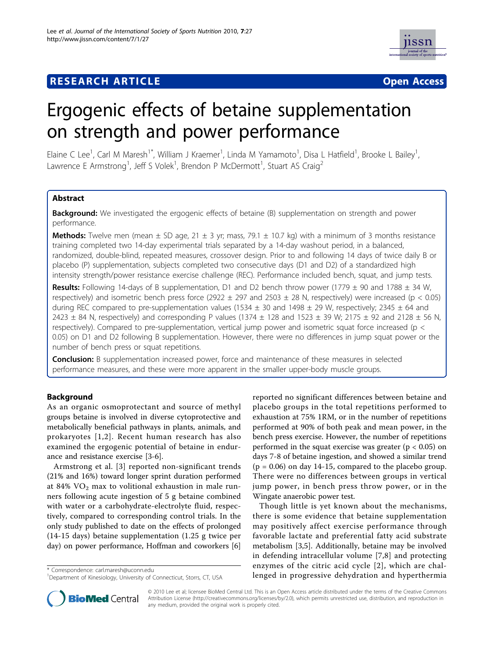## **RESEARCH ARTICLE Example 2014 12:30 The Contract of Contract ACCESS**



# Ergogenic effects of betaine supplementation on strength and power performance

Elaine C Lee<sup>1</sup>, Carl M Maresh<sup>1\*</sup>, William J Kraemer<sup>1</sup>, Linda M Yamamoto<sup>1</sup>, Disa L Hatfield<sup>1</sup>, Brooke L Bailey<sup>1</sup> , Lawrence E Armstrong<sup>1</sup>, Jeff S Volek<sup>1</sup>, Brendon P McDermott<sup>1</sup>, Stuart AS Craig<sup>2</sup>

## Abstract

**Background:** We investigated the ergogenic effects of betaine (B) supplementation on strength and power performance.

**Methods:** Twelve men (mean  $\pm$  SD age, 21  $\pm$  3 yr; mass, 79.1  $\pm$  10.7 kg) with a minimum of 3 months resistance training completed two 14-day experimental trials separated by a 14-day washout period, in a balanced, randomized, double-blind, repeated measures, crossover design. Prior to and following 14 days of twice daily B or placebo (P) supplementation, subjects completed two consecutive days (D1 and D2) of a standardized high intensity strength/power resistance exercise challenge (REC). Performance included bench, squat, and jump tests.

**Results:** Following 14-days of B supplementation, D1 and D2 bench throw power (1779  $\pm$  90 and 1788  $\pm$  34 W, respectively) and isometric bench press force (2922  $\pm$  297 and 2503  $\pm$  28 N, respectively) were increased (p < 0.05) during REC compared to pre-supplementation values (1534  $\pm$  30 and 1498  $\pm$  29 W, respectively; 2345  $\pm$  64 and 2423  $\pm$  84 N, respectively) and corresponding P values (1374  $\pm$  128 and 1523  $\pm$  39 W; 2175  $\pm$  92 and 2128  $\pm$  56 N, respectively). Compared to pre-supplementation, vertical jump power and isometric squat force increased (p < 0.05) on D1 and D2 following B supplementation. However, there were no differences in jump squat power or the number of bench press or squat repetitions.

**Conclusion:** B supplementation increased power, force and maintenance of these measures in selected performance measures, and these were more apparent in the smaller upper-body muscle groups.

## Background

As an organic osmoprotectant and source of methyl groups betaine is involved in diverse cytoprotective and metabolically beneficial pathways in plants, animals, and prokaryotes [[1](#page-6-0),[2](#page-6-0)]. Recent human research has also examined the ergogenic potential of betaine in endurance and resistance exercise [\[3](#page-6-0)-[6\]](#page-6-0).

Armstrong et al. [[3](#page-6-0)] reported non-significant trends (21% and 16%) toward longer sprint duration performed at 84%  $VO<sub>2</sub>$  max to volitional exhaustion in male runners following acute ingestion of 5 g betaine combined with water or a carbohydrate-electrolyte fluid, respectively, compared to corresponding control trials. In the only study published to date on the effects of prolonged (14-15 days) betaine supplementation (1.25 g twice per day) on power performance, Hoffman and coworkers [[6](#page-6-0)]

reported no significant differences between betaine and placebo groups in the total repetitions performed to exhaustion at 75% 1RM, or in the number of repetitions performed at 90% of both peak and mean power, in the bench press exercise. However, the number of repetitions performed in the squat exercise was greater ( $p < 0.05$ ) on days 7-8 of betaine ingestion, and showed a similar trend  $(p = 0.06)$  on day 14-15, compared to the placebo group. There were no differences between groups in vertical jump power, in bench press throw power, or in the Wingate anaerobic power test.

Though little is yet known about the mechanisms, there is some evidence that betaine supplementation may positively affect exercise performance through favorable lactate and preferential fatty acid substrate metabolism [\[3](#page-6-0),[5\]](#page-6-0). Additionally, betaine may be involved in defending intracellular volume [[7](#page-6-0),[8\]](#page-6-0) and protecting enzymes of the citric acid cycle [[2\]](#page-6-0), which are challenged in progressive dehydration and hyperthermia \* Correspondence: [carl.maresh@uconn.edu](mailto:carl.maresh@uconn.edu)



© 2010 Lee et al; licensee BioMed Central Ltd. This is an Open Access article distributed under the terms of the Creative Commons Attribution License [\(http://creativecommons.org/licenses/by/2.0](http://creativecommons.org/licenses/by/2.0)), which permits unrestricted use, distribution, and reproduction in any medium, provided the original work is properly cited.

<sup>&</sup>lt;sup>1</sup>Department of Kinesiology, University of Connecticut, Storrs, CT, USA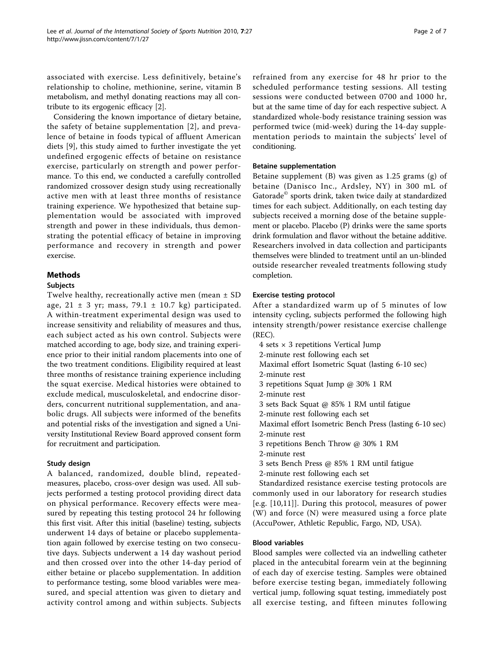associated with exercise. Less definitively, betaine's relationship to choline, methionine, serine, vitamin B metabolism, and methyl donating reactions may all contribute to its ergogenic efficacy [\[2](#page-6-0)].

Considering the known importance of dietary betaine, the safety of betaine supplementation [[2](#page-6-0)], and prevalence of betaine in foods typical of affluent American diets [[9\]](#page-6-0), this study aimed to further investigate the yet undefined ergogenic effects of betaine on resistance exercise, particularly on strength and power performance. To this end, we conducted a carefully controlled randomized crossover design study using recreationally active men with at least three months of resistance training experience. We hypothesized that betaine supplementation would be associated with improved strength and power in these individuals, thus demonstrating the potential efficacy of betaine in improving performance and recovery in strength and power exercise.

## Methods

#### Subjects

Twelve healthy, recreationally active men (mean  $\pm$  SD age,  $21 \pm 3$  yr; mass,  $79.1 \pm 10.7$  kg) participated. A within-treatment experimental design was used to increase sensitivity and reliability of measures and thus, each subject acted as his own control. Subjects were matched according to age, body size, and training experience prior to their initial random placements into one of the two treatment conditions. Eligibility required at least three months of resistance training experience including the squat exercise. Medical histories were obtained to exclude medical, musculoskeletal, and endocrine disorders, concurrent nutritional supplementation, and anabolic drugs. All subjects were informed of the benefits and potential risks of the investigation and signed a University Institutional Review Board approved consent form for recruitment and participation.

#### Study design

A balanced, randomized, double blind, repeatedmeasures, placebo, cross-over design was used. All subjects performed a testing protocol providing direct data on physical performance. Recovery effects were measured by repeating this testing protocol 24 hr following this first visit. After this initial (baseline) testing, subjects underwent 14 days of betaine or placebo supplementation again followed by exercise testing on two consecutive days. Subjects underwent a 14 day washout period and then crossed over into the other 14-day period of either betaine or placebo supplementation. In addition to performance testing, some blood variables were measured, and special attention was given to dietary and activity control among and within subjects. Subjects refrained from any exercise for 48 hr prior to the scheduled performance testing sessions. All testing sessions were conducted between 0700 and 1000 hr, but at the same time of day for each respective subject. A standardized whole-body resistance training session was performed twice (mid-week) during the 14-day supplementation periods to maintain the subjects' level of conditioning.

## Betaine supplementation

Betaine supplement (B) was given as 1.25 grams (g) of betaine (Danisco Inc., Ardsley, NY) in 300 mL of Gatorade© sports drink, taken twice daily at standardized times for each subject. Additionally, on each testing day subjects received a morning dose of the betaine supplement or placebo. Placebo (P) drinks were the same sports drink formulation and flavor without the betaine additive. Researchers involved in data collection and participants themselves were blinded to treatment until an un-blinded outside researcher revealed treatments following study completion.

#### Exercise testing protocol

After a standardized warm up of 5 minutes of low intensity cycling, subjects performed the following high intensity strength/power resistance exercise challenge (REC).

- 4 sets × 3 repetitions Vertical Jump
- 2-minute rest following each set
- Maximal effort Isometric Squat (lasting 6-10 sec)
- 2-minute rest
- 3 repetitions Squat Jump @ 30% 1 RM
- 2-minute rest
- 3 sets Back Squat @ 85% 1 RM until fatigue
- 2-minute rest following each set
- Maximal effort Isometric Bench Press (lasting 6-10 sec) 2-minute rest
- 3 repetitions Bench Throw @ 30% 1 RM
- 2-minute rest
- 3 sets Bench Press @ 85% 1 RM until fatigue
- 2-minute rest following each set

Standardized resistance exercise testing protocols are commonly used in our laboratory for research studies [e.g. [[10](#page-6-0),[11\]](#page-6-0)]. During this protocol, measures of power (W) and force (N) were measured using a force plate (AccuPower, Athletic Republic, Fargo, ND, USA).

#### Blood variables

Blood samples were collected via an indwelling catheter placed in the antecubital forearm vein at the beginning of each day of exercise testing. Samples were obtained before exercise testing began, immediately following vertical jump, following squat testing, immediately post all exercise testing, and fifteen minutes following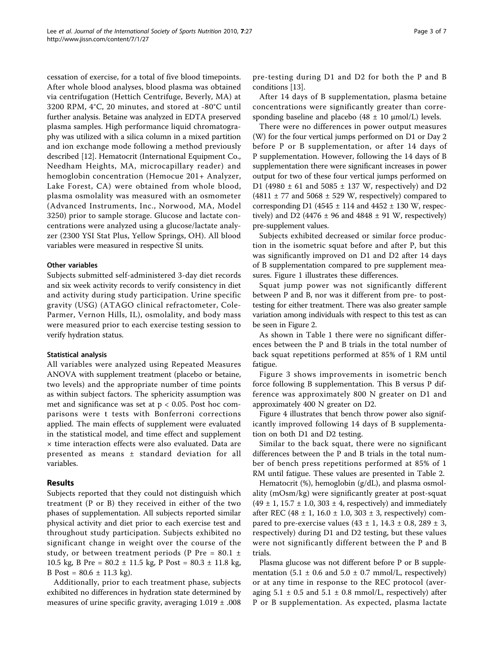cessation of exercise, for a total of five blood timepoints. After whole blood analyses, blood plasma was obtained via centrifugation (Hettich Centrifuge, Beverly, MA) at 3200 RPM, 4°C, 20 minutes, and stored at -80°C until further analysis. Betaine was analyzed in EDTA preserved plasma samples. High performance liquid chromatography was utilized with a silica column in a mixed partition and ion exchange mode following a method previously described [\[12\]](#page-6-0). Hematocrit (International Equipment Co., Needham Heights, MA, microcapillary reader) and hemoglobin concentration (Hemocue 201+ Analyzer, Lake Forest, CA) were obtained from whole blood, plasma osmolality was measured with an osmometer (Advanced Instruments, Inc., Norwood, MA, Model 3250) prior to sample storage. Glucose and lactate concentrations were analyzed using a glucose/lactate analyzer (2300 YSI Stat Plus, Yellow Springs, OH). All blood variables were measured in respective SI units.

### Other variables

Subjects submitted self-administered 3-day diet records and six week activity records to verify consistency in diet and activity during study participation. Urine specific gravity (USG) (ATAGO clinical refractometer, Cole-Parmer, Vernon Hills, IL), osmolality, and body mass were measured prior to each exercise testing session to verify hydration status.

#### Statistical analysis

All variables were analyzed using Repeated Measures ANOVA with supplement treatment (placebo or betaine, two levels) and the appropriate number of time points as within subject factors. The sphericity assumption was met and significance was set at  $p < 0.05$ . Post hoc comparisons were t tests with Bonferroni corrections applied. The main effects of supplement were evaluated in the statistical model, and time effect and supplement × time interaction effects were also evaluated. Data are presented as means ± standard deviation for all variables.

#### Results

Subjects reported that they could not distinguish which treatment (P or B) they received in either of the two phases of supplementation. All subjects reported similar physical activity and diet prior to each exercise test and throughout study participation. Subjects exhibited no significant change in weight over the course of the study, or between treatment periods (P Pre =  $80.1 \pm$ 10.5 kg, B Pre =  $80.2 \pm 11.5$  kg, P Post =  $80.3 \pm 11.8$  kg, B Post =  $80.6 \pm 11.3$  kg).

Additionally, prior to each treatment phase, subjects exhibited no differences in hydration state determined by measures of urine specific gravity, averaging  $1.019 \pm .008$  pre-testing during D1 and D2 for both the P and B conditions [\[13\]](#page-6-0).

After 14 days of B supplementation, plasma betaine concentrations were significantly greater than corresponding baseline and placebo (48  $\pm$  10  $\mu$ mol/L) levels.

There were no differences in power output measures (W) for the four vertical jumps performed on D1 or Day 2 before P or B supplementation, or after 14 days of P supplementation. However, following the 14 days of B supplementation there were significant increases in power output for two of these four vertical jumps performed on D1 (4980  $\pm$  61 and 5085  $\pm$  137 W, respectively) and D2  $(4811 \pm 77$  and  $5068 \pm 529$  W, respectively) compared to corresponding D1 (4545  $\pm$  114 and 4452  $\pm$  130 W, respectively) and D2 (4476  $\pm$  96 and 4848  $\pm$  91 W, respectively) pre-supplement values.

Subjects exhibited decreased or similar force production in the isometric squat before and after P, but this was significantly improved on D1 and D2 after 14 days of B supplementation compared to pre supplement measures. Figure [1](#page-3-0) illustrates these differences.

Squat jump power was not significantly different between P and B, nor was it different from pre- to posttesting for either treatment. There was also greater sample variation among individuals with respect to this test as can be seen in Figure [2](#page-3-0).

As shown in Table [1](#page-4-0) there were no significant differences between the P and B trials in the total number of back squat repetitions performed at 85% of 1 RM until fatigue.

Figure [3](#page-4-0) shows improvements in isometric bench force following B supplementation. This B versus P difference was approximately 800 N greater on D1 and approximately 400 N greater on D2.

Figure [4](#page-5-0) illustrates that bench throw power also significantly improved following 14 days of B supplementation on both D1 and D2 testing.

Similar to the back squat, there were no significant differences between the P and B trials in the total number of bench press repetitions performed at 85% of 1 RM until fatigue. These values are presented in Table [2](#page-5-0).

Hematocrit (%), hemoglobin (g/dL), and plasma osmolality (mOsm/kg) were significantly greater at post-squat  $(49 \pm 1, 15.7 \pm 1.0, 303 \pm 4,$  respectively) and immediately after REC (48  $\pm$  1, 16.0  $\pm$  1.0, 303  $\pm$  3, respectively) compared to pre-exercise values  $(43 \pm 1, 14.3 \pm 0.8, 289 \pm 3,$ respectively) during D1 and D2 testing, but these values were not significantly different between the P and B trials.

Plasma glucose was not different before P or B supplementation (5.1  $\pm$  0.6 and 5.0  $\pm$  0.7 mmol/L, respectively) or at any time in response to the REC protocol (averaging  $5.1 \pm 0.5$  and  $5.1 \pm 0.8$  mmol/L, respectively) after P or B supplementation. As expected, plasma lactate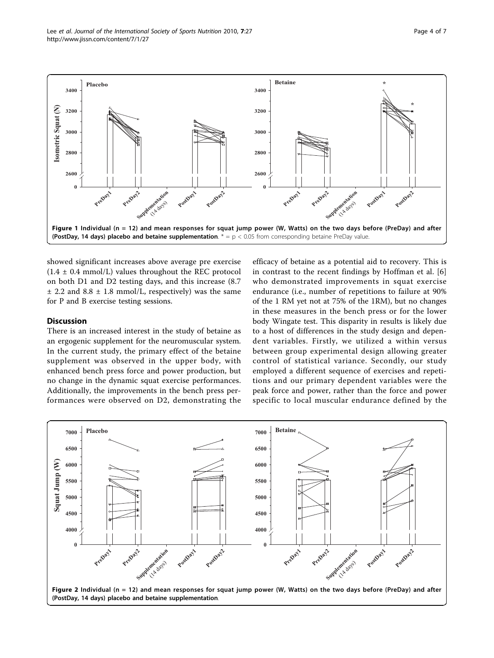showed significant increases above average pre exercise  $(1.4 \pm 0.4 \text{ mmol/L})$  values throughout the REC protocol on both D1 and D2 testing days, and this increase (8.7  $\pm$  2.2 and 8.8  $\pm$  1.8 mmol/L, respectively) was the same for P and B exercise testing sessions.

## Discussion

There is an increased interest in the study of betaine as an ergogenic supplement for the neuromuscular system. In the current study, the primary effect of the betaine supplement was observed in the upper body, with enhanced bench press force and power production, but no change in the dynamic squat exercise performances. Additionally, the improvements in the bench press performances were observed on D2, demonstrating the efficacy of betaine as a potential aid to recovery. This is in contrast to the recent findings by Hoffman et al. [\[6](#page-6-0)] who demonstrated improvements in squat exercise endurance (i.e., number of repetitions to failure at 90% of the 1 RM yet not at 75% of the 1RM), but no changes in these measures in the bench press or for the lower body Wingate test. This disparity in results is likely due to a host of differences in the study design and dependent variables. Firstly, we utilized a within versus between group experimental design allowing greater control of statistical variance. Secondly, our study employed a different sequence of exercises and repetitions and our primary dependent variables were the peak force and power, rather than the force and power specific to local muscular endurance defined by the



<span id="page-3-0"></span>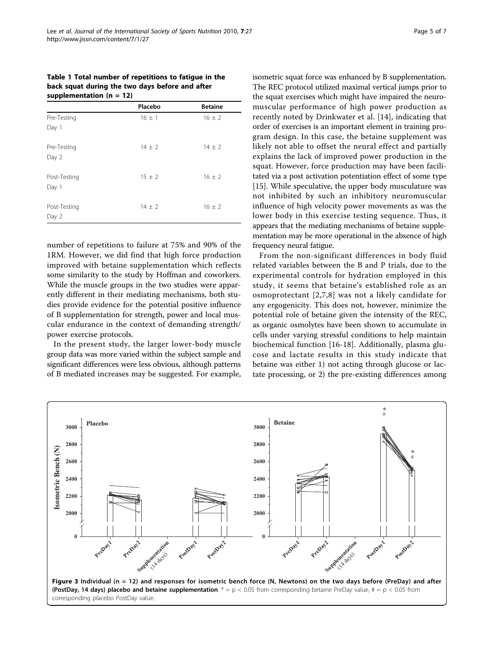<span id="page-4-0"></span>Table 1 Total number of repetitions to fatigue in the back squat during the two days before and after supplementation  $(n = 12)$ 

|                       | Placebo    | <b>Betaine</b> |
|-----------------------|------------|----------------|
| Pre-Testing<br>Day 1  | $16 \pm 1$ | $16 \pm 2$     |
| Pre-Testing<br>Day 2  | $14 \pm 2$ | $14 \pm 2$     |
| Post-Testing<br>Day 1 | $15 \pm 2$ | $16 \pm 2$     |
| Post-Testing<br>Day 2 | $14 \pm 2$ | $16 \pm 2$     |

number of repetitions to failure at 75% and 90% of the 1RM. However, we did find that high force production improved with betaine supplementation which reflects some similarity to the study by Hoffman and coworkers. While the muscle groups in the two studies were apparently different in their mediating mechanisms, both studies provide evidence for the potential positive influence of B supplementation for strength, power and local muscular endurance in the context of demanding strength/ power exercise protocols.

In the present study, the larger lower-body muscle group data was more varied within the subject sample and significant differences were less obvious, although patterns of B mediated increases may be suggested. For example, isometric squat force was enhanced by B supplementation. The REC protocol utilized maximal vertical jumps prior to the squat exercises which might have impaired the neuromuscular performance of high power production as recently noted by Drinkwater et al. [[14\]](#page-6-0), indicating that order of exercises is an important element in training program design. In this case, the betaine supplement was likely not able to offset the neural effect and partially explains the lack of improved power production in the squat. However, force production may have been facilitated via a post activation potentiation effect of some type [[15\]](#page-6-0). While speculative, the upper body musculature was not inhibited by such an inhibitory neuromuscular influence of high velocity power movements as was the lower body in this exercise testing sequence. Thus, it appears that the mediating mechanisms of betaine supplementation may be more operational in the absence of high frequency neural fatigue.

From the non-significant differences in body fluid related variables between the B and P trials, due to the experimental controls for hydration employed in this study, it seems that betaine's established role as an osmoprotectant [\[2,7](#page-6-0),[8\]](#page-6-0) was not a likely candidate for any ergogenicity. This does not, however, minimize the potential role of betaine given the intensity of the REC, as organic osmolytes have been shown to accumulate in cells under varying stressful conditions to help maintain biochemical function [[16-18\]](#page-6-0). Additionally, plasma glucose and lactate results in this study indicate that betaine was either 1) not acting through glucose or lactate processing, or 2) the pre-existing differences among

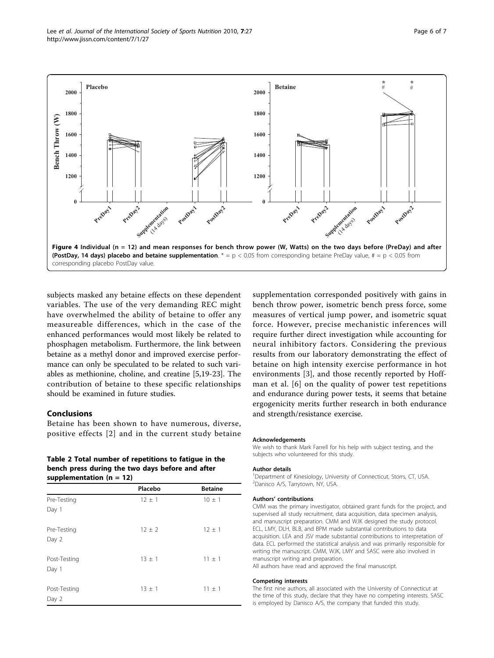subjects masked any betaine effects on these dependent variables. The use of the very demanding REC might have overwhelmed the ability of betaine to offer any measureable differences, which in the case of the enhanced performances would most likely be related to phosphagen metabolism. Furthermore, the link between betaine as a methyl donor and improved exercise performance can only be speculated to be related to such variables as methionine, choline, and creatine [[5](#page-6-0),[19](#page-6-0)-[23\]](#page-6-0). The contribution of betaine to these specific relationships should be examined in future studies.

## Conclusions

Betaine has been shown to have numerous, diverse, positive effects [[2\]](#page-6-0) and in the current study betaine

#### Table 2 Total number of repetitions to fatigue in the bench press during the two days before and after supplementation  $(n = 12)$

|                       | Placebo    | <b>Betaine</b> |
|-----------------------|------------|----------------|
| Pre-Testing           | $12 \pm 1$ | $10 \pm 1$     |
| Day 1                 |            |                |
| Pre-Testing<br>Day 2  | $12 \pm 2$ | $12 \pm 1$     |
| Post-Testing<br>Day 1 | $13 \pm 1$ | $11 \pm 1$     |
| Post-Testing<br>Day 2 | $13 \pm 1$ | $11 \pm 1$     |

supplementation corresponded positively with gains in bench throw power, isometric bench press force, some measures of vertical jump power, and isometric squat force. However, precise mechanistic inferences will require further direct investigation while accounting for neural inhibitory factors. Considering the previous results from our laboratory demonstrating the effect of betaine on high intensity exercise performance in hot environments [[3\]](#page-6-0), and those recently reported by Hoffman et al. [\[6](#page-6-0)] on the quality of power test repetitions and endurance during power tests, it seems that betaine ergogenicity merits further research in both endurance and strength/resistance exercise.

#### Acknowledgements

We wish to thank Mark Farrell for his help with subject testing, and the subjects who volunteered for this study.

#### Author details

<sup>1</sup>Department of Kinesiology, University of Connecticut, Storrs, CT, USA. 2 Danisco A/S, Tarrytown, NY, USA.

#### Authors' contributions

CMM was the primary investigator, obtained grant funds for the project, and supervised all study recruitment, data acquisition, data specimen analysis, and manuscript preparation. CMM and WJK designed the study protocol. ECL, LMY, DLH, BLB, and BPM made substantial contributions to data acquisition. LEA and JSV made substantial contributions to interpretation of data. ECL performed the statistical analysis and was primarily responsible for writing the manuscript. CMM, WJK, LMY and SASC were also involved in manuscript writing and preparation.

All authors have read and approved the final manuscript.

#### Competing interests

The first nine authors, all associated with the University of Connecticut at the time of this study, declare that they have no competing interests. SASC is employed by Danisco A/S, the company that funded this study.

<span id="page-5-0"></span>